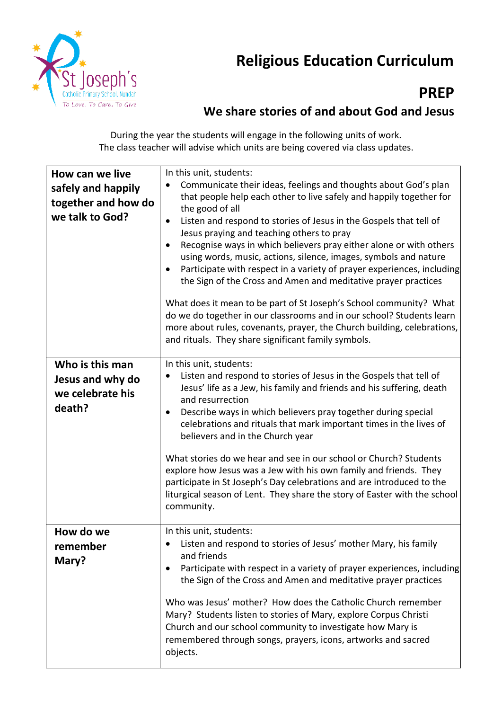

## **Religious Education Curriculum**

## **PREP**

## **We share stories of and about God and Jesus**

During the year the students will engage in the following units of work. The class teacher will advise which units are being covered via class updates.

| How can we live<br>safely and happily<br>together and how do<br>we talk to God? | In this unit, students:<br>Communicate their ideas, feelings and thoughts about God's plan<br>that people help each other to live safely and happily together for<br>the good of all<br>Listen and respond to stories of Jesus in the Gospels that tell of<br>$\bullet$<br>Jesus praying and teaching others to pray<br>Recognise ways in which believers pray either alone or with others<br>$\bullet$<br>using words, music, actions, silence, images, symbols and nature<br>Participate with respect in a variety of prayer experiences, including<br>the Sign of the Cross and Amen and meditative prayer practices<br>What does it mean to be part of St Joseph's School community? What<br>do we do together in our classrooms and in our school? Students learn<br>more about rules, covenants, prayer, the Church building, celebrations,<br>and rituals. They share significant family symbols. |
|---------------------------------------------------------------------------------|----------------------------------------------------------------------------------------------------------------------------------------------------------------------------------------------------------------------------------------------------------------------------------------------------------------------------------------------------------------------------------------------------------------------------------------------------------------------------------------------------------------------------------------------------------------------------------------------------------------------------------------------------------------------------------------------------------------------------------------------------------------------------------------------------------------------------------------------------------------------------------------------------------|
| Who is this man<br>Jesus and why do<br>we celebrate his<br>death?               | In this unit, students:<br>Listen and respond to stories of Jesus in the Gospels that tell of<br>Jesus' life as a Jew, his family and friends and his suffering, death<br>and resurrection<br>Describe ways in which believers pray together during special<br>٠<br>celebrations and rituals that mark important times in the lives of<br>believers and in the Church year<br>What stories do we hear and see in our school or Church? Students<br>explore how Jesus was a Jew with his own family and friends. They<br>participate in St Joseph's Day celebrations and are introduced to the<br>liturgical season of Lent. They share the story of Easter with the school<br>community.                                                                                                                                                                                                                 |
| How do we<br>remember<br>Mary?                                                  | In this unit, students:<br>• Listen and respond to stories of Jesus' mother Mary, his family<br>and friends<br>Participate with respect in a variety of prayer experiences, including<br>the Sign of the Cross and Amen and meditative prayer practices<br>Who was Jesus' mother? How does the Catholic Church remember<br>Mary? Students listen to stories of Mary, explore Corpus Christi<br>Church and our school community to investigate how Mary is<br>remembered through songs, prayers, icons, artworks and sacred<br>objects.                                                                                                                                                                                                                                                                                                                                                                   |